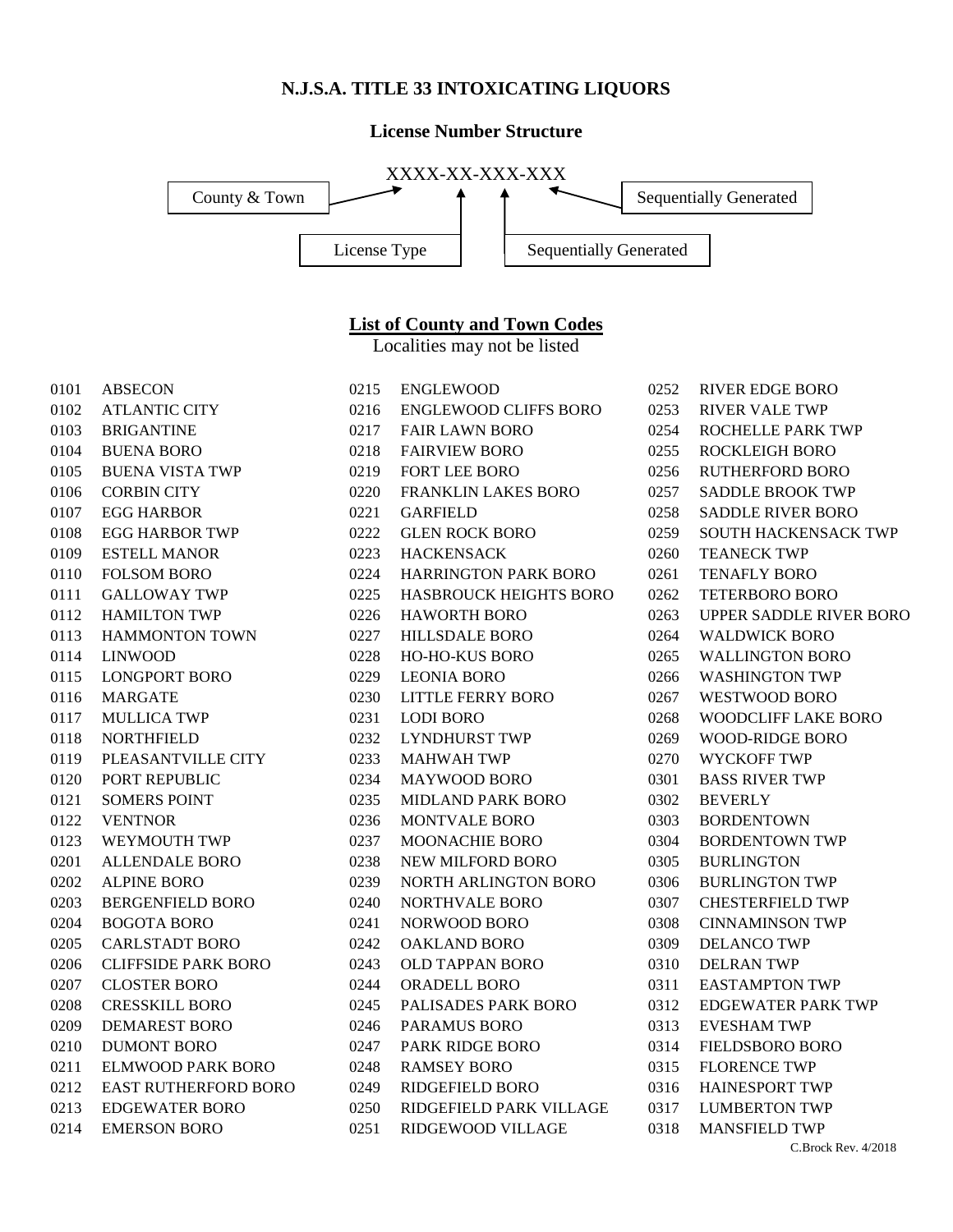#### **N.J.S.A. TITLE 33 INTOXICATING LIQUORS**

#### **License Number Structure**



## **List of County and Town Codes**

Localities may not be listed

| 0101 | <b>ABSECON</b>              | 0215 | <b>ENGLEWOOD</b>             |
|------|-----------------------------|------|------------------------------|
| 0102 | <b>ATLANTIC CITY</b>        | 0216 | <b>ENGLEWOOD CLIFFS BORO</b> |
| 0103 | <b>BRIGANTINE</b>           | 0217 | <b>FAIR LAWN BORO</b>        |
| 0104 | <b>BUENA BORO</b>           | 0218 | <b>FAIRVIEW BORO</b>         |
| 0105 | <b>BUENA VISTA TWP</b>      | 0219 | <b>FORT LEE BORO</b>         |
| 0106 | <b>CORBIN CITY</b>          | 0220 | FRANKLIN LAKES BORO          |
| 0107 | <b>EGG HARBOR</b>           | 0221 | <b>GARFIELD</b>              |
| 0108 | <b>EGG HARBOR TWP</b>       | 0222 | <b>GLEN ROCK BORO</b>        |
| 0109 | <b>ESTELL MANOR</b>         | 0223 | <b>HACKENSACK</b>            |
| 0110 | <b>FOLSOM BORO</b>          | 0224 | <b>HARRINGTON PARK BORO</b>  |
| 0111 | <b>GALLOWAY TWP</b>         | 0225 | <b>HASBROUCK HEIGHTS BOR</b> |
| 0112 | <b>HAMILTON TWP</b>         | 0226 | <b>HAWORTH BORO</b>          |
| 0113 | <b>HAMMONTON TOWN</b>       | 0227 | <b>HILLSDALE BORO</b>        |
| 0114 | <b>LINWOOD</b>              | 0228 | <b>HO-HO-KUS BORO</b>        |
| 0115 | <b>LONGPORT BORO</b>        | 0229 | <b>LEONIA BORO</b>           |
| 0116 | <b>MARGATE</b>              | 0230 | <b>LITTLE FERRY BORO</b>     |
| 0117 | <b>MULLICA TWP</b>          | 0231 | <b>LODI BORO</b>             |
| 0118 | <b>NORTHFIELD</b>           | 0232 | <b>LYNDHURST TWP</b>         |
| 0119 | PLEASANTVILLE CITY          | 0233 | <b>MAHWAH TWP</b>            |
| 0120 | PORT REPUBLIC               | 0234 | <b>MAYWOOD BORO</b>          |
| 0121 | <b>SOMERS POINT</b>         | 0235 | <b>MIDLAND PARK BORO</b>     |
| 0122 | <b>VENTNOR</b>              | 0236 | <b>MONTVALE BORO</b>         |
| 0123 | WEYMOUTH TWP                | 0237 | MOONACHIE BORO               |
| 0201 | <b>ALLENDALE BORO</b>       | 0238 | NEW MILFORD BORO             |
| 0202 | <b>ALPINE BORO</b>          | 0239 | NORTH ARLINGTON BORO         |
| 0203 | <b>BERGENFIELD BORO</b>     | 0240 | <b>NORTHVALE BORO</b>        |
| 0204 | <b>BOGOTA BORO</b>          | 0241 | NORWOOD BORO                 |
| 0205 | <b>CARLSTADT BORO</b>       | 0242 | <b>OAKLAND BORO</b>          |
| 0206 | <b>CLIFFSIDE PARK BORO</b>  | 0243 | <b>OLD TAPPAN BORO</b>       |
| 0207 | <b>CLOSTER BORO</b>         | 0244 | <b>ORADELL BORO</b>          |
| 0208 | <b>CRESSKILL BORO</b>       | 0245 | PALISADES PARK BORO          |
| 0209 | <b>DEMAREST BORO</b>        | 0246 | <b>PARAMUS BORO</b>          |
| 0210 | <b>DUMONT BORO</b>          | 0247 | PARK RIDGE BORO              |
| 0211 | ELMWOOD PARK BORO           | 0248 | <b>RAMSEY BORO</b>           |
| 0212 | <b>EAST RUTHERFORD BORO</b> | 0249 | <b>RIDGEFIELD BORO</b>       |
| 0213 | <b>EDGEWATER BORO</b>       | 0250 | RIDGEFIELD PARK VILLAGE      |
| 0214 | <b>EMERSON BORO</b>         | 0251 | RIDGEWOOD VILLAGE            |

| 0218 | <b>FAIRVIEW BORO</b>         |
|------|------------------------------|
|      | 0219 FORT LEE BORO           |
|      | 0220 FRANKLIN LAKES BORO     |
| 0221 | GARFIELD                     |
| 0222 | <b>GLEN ROCK BORO</b>        |
|      | 0223 HACKENSACK              |
|      | 0224 HARRINGTON PARK BORO    |
|      | 0225 HASBROUCK HEIGHTS BORO  |
|      | 0226 HAWORTH BORO            |
| 0227 | <b>HILLSDALE BORO</b>        |
|      | 0228 HO-HO-KUS BORO          |
|      | 0229 LEONIA BORO             |
|      | 0230 LITTLE FERRY BORO       |
|      | 0231 LODI BORO               |
|      | 0232 LYNDHURST TWP           |
|      | 0233 MAHWAH TWP              |
|      | 0234 MAYWOOD BORO            |
| 0235 | <b>MIDLAND PARK BORO</b>     |
| 0236 | MONTVALE BORO                |
| 0237 | <b>MOONACHIE BORO</b>        |
|      | 0238 NEW MILFORD BORO        |
|      | 0239 NORTH ARLINGTON BORO    |
| 0240 | NORTHVALE BORO               |
| 0241 | <b>NORWOOD BORO</b>          |
| 0242 | <b>OAKLAND BORO</b>          |
|      | 0243 OLD TAPPAN BORO         |
|      | 0244 ORADELL BORO            |
| 0245 | <b>PALISADES PARK BORO</b>   |
| 0246 | <b>PARAMUS BORO</b>          |
|      | 0247 PARK RIDGE BORO         |
|      | 0248 RAMSEY BORO             |
|      | 0249 RIDGEFIELD BORO         |
|      | 0250 RIDGEFIELD PARK VILLAGE |
| 0251 | RIDGEWOOD VILLAGE            |

| 0252 | RIVER EDGE BORO                |
|------|--------------------------------|
| 0253 | <b>RIVER VALE TWP</b>          |
| 0254 | <b>ROCHELLE PARK TWP</b>       |
| 0255 | <b>ROCKLEIGH BORO</b>          |
| 0256 | RUTHERFORD BORO                |
| 0257 | <b>SADDLE BROOK TWP</b>        |
| 0258 | <b>SADDLE RIVER BORO</b>       |
| 0259 | <b>SOUTH HACKENSACK TWP</b>    |
| 0260 | <b>TEANECK TWP</b>             |
| 0261 | TENAFLY BORO                   |
| 0262 | <b>TETERBORO BORO</b>          |
| 0263 | <b>UPPER SADDLE RIVER BORO</b> |
| 0264 | <b>WALDWICK BORO</b>           |
| 0265 | <b>WALLINGTON BORO</b>         |
| 0266 | <b>WASHINGTON TWP</b>          |
| 0267 | <b>WESTWOOD BORO</b>           |
| 0268 | WOODCLIFF LAKE BORO            |
| 0269 | <b>WOOD-RIDGE BORO</b>         |
| 0270 | <b>WYCKOFF TWP</b>             |
| 0301 | <b>BASS RIVER TWP</b>          |
| 0302 | <b>BEVERLY</b>                 |
| 0303 | <b>BORDENTOWN</b>              |
| 0304 | <b>BORDENTOWN TWP</b>          |
| 0305 | <b>BURLINGTON</b>              |
| 0306 | <b>BURLINGTON TWP</b>          |
| 0307 | <b>CHESTERFIELD TWP</b>        |
| 0308 | <b>CINNAMINSON TWP</b>         |
| 0309 | <b>DELANCO TWP</b>             |
| 0310 | <b>DELRAN TWP</b>              |
| 0311 | <b>EASTAMPTON TWP</b>          |
| 0312 | <b>EDGEWATER PARK TWP</b>      |
| 0313 | <b>EVESHAM TWP</b>             |
| 0314 | <b>FIELDSBORO BORO</b>         |
| 0315 | <b>FLORENCE TWP</b>            |
| 0316 | <b>HAINESPORT TWP</b>          |
| 0317 | <b>LUMBERTON TWP</b>           |
| 0318 | <b>MANSFIELD TWP</b>           |
|      | $CD = 1D = 1/2010$             |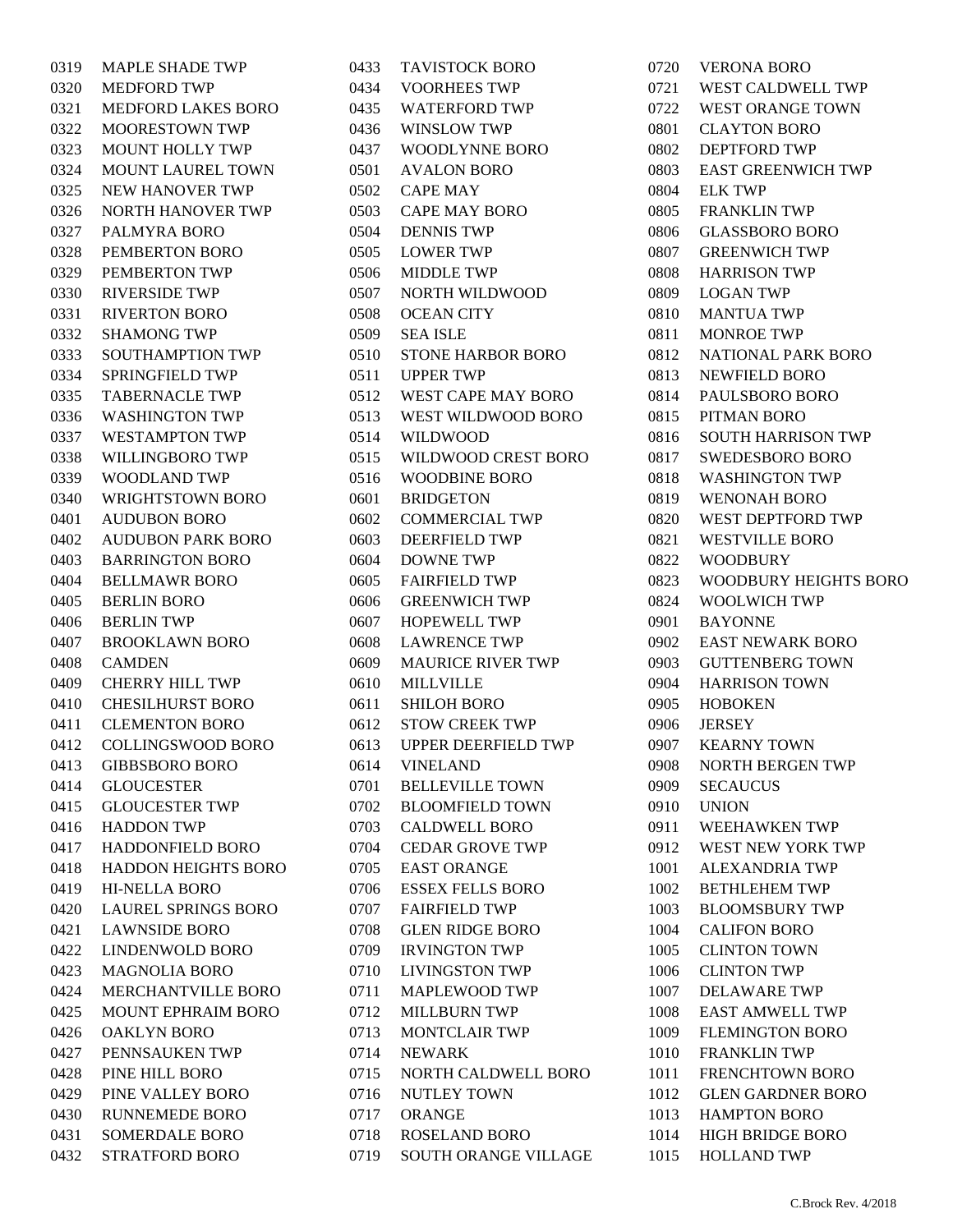| 0319 | <b>MAPLE SHADE TWP</b>     |
|------|----------------------------|
| 0320 | <b>MEDFORD TWP</b>         |
| 0321 | <b>MEDFORD LAKES BORO</b>  |
| 0322 | <b>MOORESTOWN TWP</b>      |
| 0323 | <b>MOUNT HOLLY TWP</b>     |
| 0324 | <b>MOUNT LAUREL TOWN</b>   |
| 0325 | <b>NEW HANOVER TWP</b>     |
| 0326 | <b>NORTH HANOVER TWP</b>   |
| 0327 | PALMYRA BORO               |
| 0328 | PEMBERTON BORO             |
| 0329 | PEMBERTON TWP              |
| 0330 | <b>RIVERSIDE TWP</b>       |
| 0331 | <b>RIVERTON BORO</b>       |
| 0332 | SHAMONG TWP                |
| 0333 | SOUTHAMPTION TWP           |
| 0334 | <b>SPRINGFIELD TWP</b>     |
| 0335 | <b>TABERNACLE TWP</b>      |
| 0336 | <b>WASHINGTON TWP</b>      |
| 0337 | WESTAMPTON TWP             |
| 0338 | WILLINGBORO TWP            |
| 0339 | <b>WOODLAND TWP</b>        |
| 0340 | <b>WRIGHTSTOWN BORO</b>    |
| 0401 | AUDUBON BORO               |
| 0402 | <b>AUDUBON PARK BORO</b>   |
| 0403 | <b>BARRINGTON BORO</b>     |
| 0404 | <b>BELLMAWR BORO</b>       |
| 0405 | <b>BERLIN BORO</b>         |
| 0406 | <b>BERLIN TWP</b>          |
| 0407 | <b>BROOKLAWN BORO</b>      |
| 0408 | CAMDEN                     |
| 0409 | <b>CHERRY HILL TWP</b>     |
| 0410 | <b>CHESILHURST BORO</b>    |
| 0411 | <b>CLEMENTON BORO</b>      |
| 0412 | <b>COLLINGSWOOD BORO</b>   |
| 0413 | <b>GIBBSBORO BORO</b>      |
| 0414 | <b>GLOUCESTER</b>          |
| 0415 | <b>GLOUCESTER TWP</b>      |
| 0416 | <b>HADDON TWP</b>          |
| 0417 | <b>HADDONFIELD BORO</b>    |
| 0418 | <b>HADDON HEIGHTS BORO</b> |
| 0419 | <b>HI-NELLA BORO</b>       |
| 0420 | <b>LAUREL SPRINGS BORO</b> |
| 0421 | <b>LAWNSIDE BORO</b>       |
| 0422 | <b>LINDENWOLD BORO</b>     |
| 0423 | <b>MAGNOLIA BORO</b>       |
| 0424 | MERCHANTVILLE BORO         |
| 0425 | <b>MOUNT EPHRAIM BORO</b>  |
| 0426 | <b>OAKLYN BORO</b>         |
| 0427 | PENNSAUKEN TWP             |
| 0428 | PINE HILL BORO             |
| 0429 | PINE VALLEY BORO           |
| 0430 | <b>RUNNEMEDE BORO</b>      |
| 0431 | <b>SOMERDALE BORO</b>      |
| 0432 | <b>STRATFORD BORO</b>      |

| 0433 | TAVISTOCK BORO             |
|------|----------------------------|
| 0434 | <b>VOORHEES TWP</b>        |
| 0435 | <b>WATERFORD TWP</b>       |
| 0436 | <b>WINSLOW TWP</b>         |
| 0437 | <b>WOODLYNNE BORO</b>      |
| 0501 | <b>AVALON BORO</b>         |
| 0502 | <b>CAPE MAY</b>            |
| 0503 | <b>CAPE MAY BORO</b>       |
| 0504 | <b>DENNIS TWP</b>          |
| 0505 | <b>LOWER TWP</b>           |
| 0506 | <b>MIDDLE TWP</b>          |
| 0507 | <b>NORTH WILDWOOD</b>      |
| 0508 | <b>OCEAN CITY</b>          |
| 0509 | <b>SEA ISLE</b>            |
| 0510 | STONE HARBOR BORO          |
| 0511 | <b>UPPER TWP</b>           |
| 0512 | <b>WEST CAPE MAY BORO</b>  |
| 0513 | WEST WILDWOOD BORO         |
| 0514 | WILDWOOD                   |
| 0515 | WILDWOOD CREST BORO        |
| 0516 | WOODBINE BORO              |
| 0601 | <b>BRIDGETON</b>           |
| 0602 | <b>COMMERCIAL TWP</b>      |
| 0603 | <b>DEERFIELD TWP</b>       |
| 0604 | <b>DOWNE TWP</b>           |
| 0605 | <b>FAIRFIELD TWP</b>       |
| 0606 | <b>GREENWICH TWP</b>       |
| 0607 | <b>HOPEWELL TWP</b>        |
| 0608 | <b>LAWRENCE TWP</b>        |
| 0609 | <b>MAURICE RIVER TWP</b>   |
| 0610 | <b>MILLVILLE</b>           |
| 0611 | <b>SHILOH BORO</b>         |
| 0612 | <b>STOW CREEK TWP</b>      |
| 0613 | <b>UPPER DEERFIELD TWP</b> |
| 0614 | <b>VINELAND</b>            |
| 0701 | <b>BELLEVILLE TOWN</b>     |
| 0702 | <b>BLOOMFIELD TOWN</b>     |
| 0703 | <b>CALDWELL BORO</b>       |
| 0704 | <b>CEDAR GROVE TWP</b>     |
| 0705 | <b>EAST ORANGE</b>         |
| 0706 | <b>ESSEX FELLS BORO</b>    |
| 0707 | <b>FAIRFIELD TWP</b>       |
| 0708 | <b>GLEN RIDGE BORO</b>     |
| 0709 | <b>IRVINGTON TWP</b>       |
| 0710 | <b>LIVINGSTON TWP</b>      |
| 0711 | <b>MAPLEWOOD TWP</b>       |
| 0712 | <b>MILLBURN TWP</b>        |
| 0713 | <b>MONTCLAIR TWP</b>       |
| 0714 | <b>NEWARK</b>              |
| 0715 | NORTH CALDWELL BORO        |
| 0716 | <b>NUTLEY TOWN</b>         |
| 0717 | ORANGE                     |
| 0718 | <b>ROSELAND BORO</b>       |
| 0719 | SOUTH ORANGE VILLAGE       |

 VERONA BORO WEST CALDWELL TWP WEST ORANGE TOWN CLAYTON BORO DEPTFORD TWP EAST GREENWICH TWP ELK TWP FRANKLIN TWP GLASSBORO BORO GREENWICH TWP HARRISON TWP LOGAN TWP MANTUA TWP MONROE TWP NATIONAL PARK BORO NEWFIELD BORO PAULSBORO BORO PITMAN BORO SOUTH HARRISON TWP SWEDESBORO BORO WASHINGTON TWP WENONAH BORO WEST DEPTFORD TWP WESTVILLE BORO WOODBURY WOODBURY HEIGHTS BORO WOOLWICH TWP BAYONNE EAST NEWARK BORO GUTTENBERG TOWN HARRISON TOWN HOBOKEN JERSEY KEARNY TOWN NORTH BERGEN TWP SECAUCUS UNION WEEHAWKEN TWP WEST NEW YORK TWP ALEXANDRIA TWP BETHLEHEM TWP BLOOMSBURY TWP CALIFON BORO CLINTON TOWN CLINTON TWP DELAWARE TWP EAST AMWELL TWP FLEMINGTON BORO FRANKLIN TWP FRENCHTOWN BORO GLEN GARDNER BORO HAMPTON BORO HIGH BRIDGE BORO HOLLAND TWP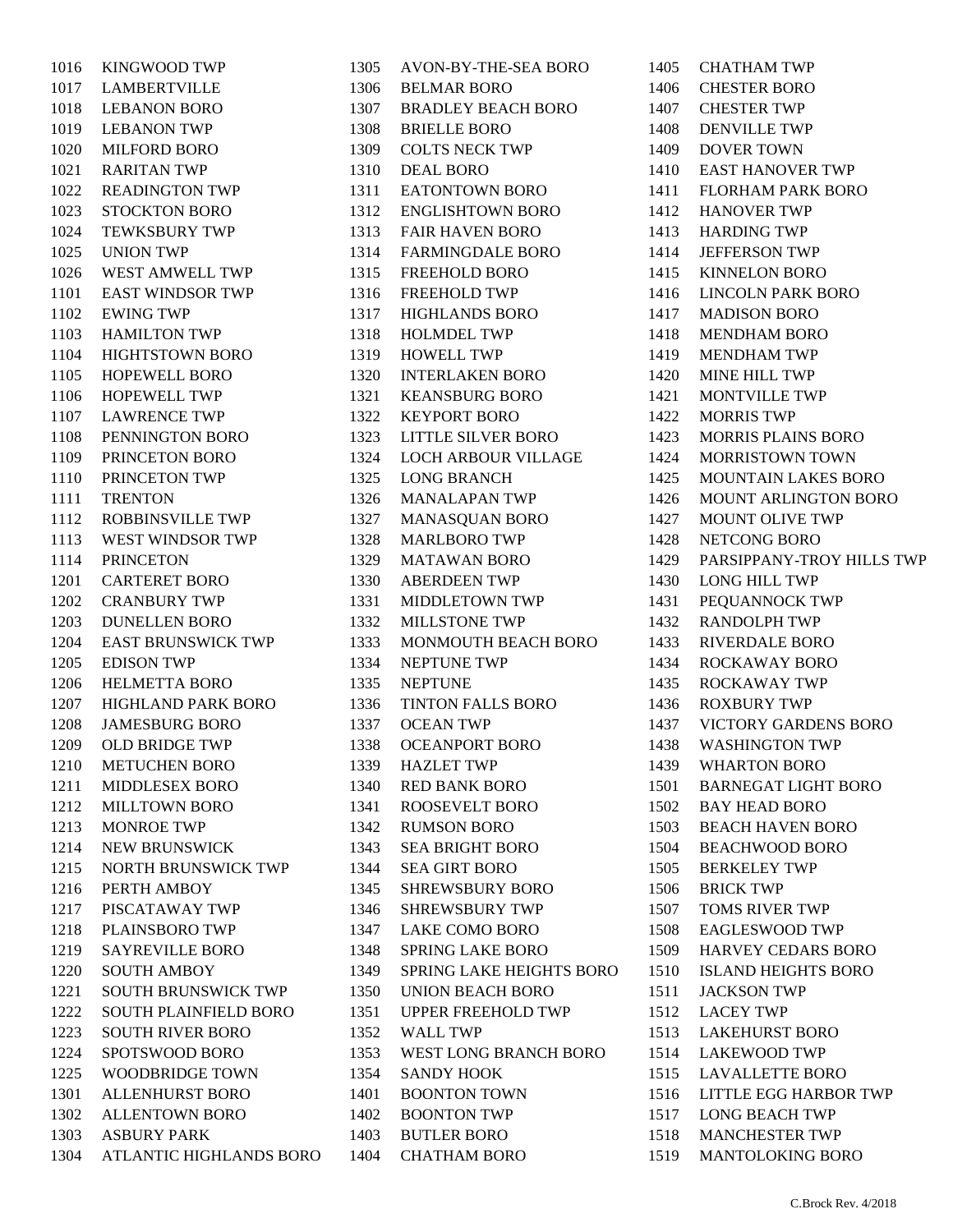KINGWOOD TWP LAMBERTVILLE LEBANON BORO LEBANON TWP MILFORD BORO RARITAN TWP READINGTON TWP STOCKTON BORO TEWKSBURY TWP UNION TWP WEST AMWELL TWP EAST WINDSOR TWP EWING TWP HAMILTON TWP HIGHTSTOWN BORO HOPEWELL BORO HOPEWELL TWP LAWRENCE TWP PENNINGTON BORO PRINCETON BORO PRINCETON TWP TRENTON ROBBINSVILLE TWP WEST WINDSOR TWP PRINCETON CARTERET BORO CRANBURY TWP DUNELLEN BORO EAST BRUNSWICK TWP EDISON TWP HELMETTA BORO HIGHLAND PARK BORO JAMESBURG BORO OLD BRIDGE TWP METUCHEN BORO MIDDLESEX BORO MILLTOWN BORO MONROE TWP NEW BRUNSWICK NORTH BRUNSWICK TWP PERTH AMBOY PISCATAWAY TWP PLAINSBORO TWP SAYREVILLE BORO SOUTH AMBOY SOUTH BRUNSWICK TWP SOUTH PLAINFIELD BORO SOUTH RIVER BORO SPOTSWOOD BORO WOODBRIDGE TOWN ALLENHURST BORO ALLENTOWN BORO ASBURY PARK ATLANTIC HIGHLANDS BORO  AVON-BY-THE-SEA BORO BELMAR BORO BRADLEY BEACH BORO BRIELLE BORO COLTS NECK TWP DEAL BORO EATONTOWN BORO ENGLISHTOWN BORO FAIR HAVEN BORO FARMINGDALE BORO FREEHOLD BORO FREEHOLD TWP HIGHLANDS BORO HOLMDEL TWP HOWELL TWP INTERLAKEN BORO KEANSBURG BORO KEYPORT BORO LITTLE SILVER BORO LOCH ARBOUR VILLAGE LONG BRANCH MANALAPAN TWP MANASQUAN BORO MARLBORO TWP MATAWAN BORO ABERDEEN TWP MIDDLETOWN TWP MILLSTONE TWP MONMOUTH BEACH BORO NEPTUNE TWP NEPTUNE TINTON FALLS BORO OCEAN TWP OCEANPORT BORO HAZLET TWP RED BANK BORO ROOSEVELT BORO RUMSON BORO SEA BRIGHT BORO SEA GIRT BORO SHREWSBURY BORO SHREWSBURY TWP LAKE COMO BORO SPRING LAKE BORO SPRING LAKE HEIGHTS BORO UNION BEACH BORO UPPER FREEHOLD TWP WALL TWP WEST LONG BRANCH BORO SANDY HOOK BOONTON TOWN BOONTON TWP BUTLER BORO CHATHAM BORO

 CHATHAM TWP CHESTER BORO CHESTER TWP DENVILLE TWP DOVER TOWN EAST HANOVER TWP FLORHAM PARK BORO HANOVER TWP HARDING TWP JEFFERSON TWP KINNELON BORO LINCOLN PARK BORO MADISON BORO MENDHAM BORO MENDHAM TWP MINE HILL TWP MONTVILLE TWP MORRIS TWP MORRIS PLAINS BORO MORRISTOWN TOWN MOUNTAIN LAKES BORO MOUNT ARLINGTON BORO MOUNT OLIVE TWP NETCONG BORO PARSIPPANY-TROY HILLS TWP LONG HILL TWP PEQUANNOCK TWP RANDOLPH TWP RIVERDALE BORO ROCKAWAY BORO ROCKAWAY TWP ROXBURY TWP VICTORY GARDENS BORO WASHINGTON TWP WHARTON BORO BARNEGAT LIGHT BORO BAY HEAD BORO BEACH HAVEN BORO BEACHWOOD BORO BERKELEY TWP BRICK TWP TOMS RIVER TWP EAGLESWOOD TWP HARVEY CEDARS BORO ISLAND HEIGHTS BORO JACKSON TWP LACEY TWP LAKEHURST BORO LAKEWOOD TWP LAVALLETTE BORO LITTLE EGG HARBOR TWP LONG BEACH TWP MANCHESTER TWP MANTOLOKING BORO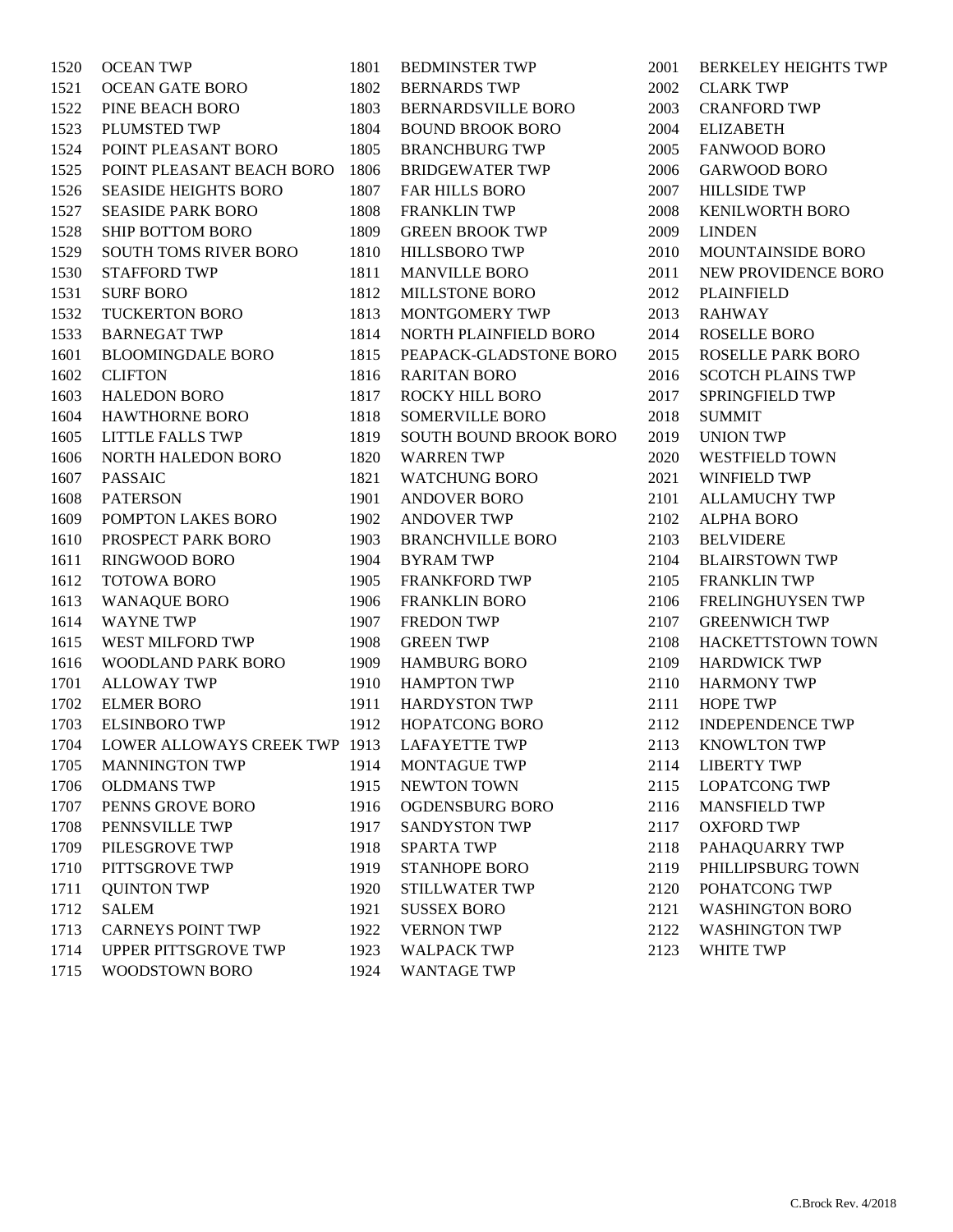| 1520 | <b>OCEAN TWP</b>              | 1801 | <b>BEDMINSTER TWP</b>         |
|------|-------------------------------|------|-------------------------------|
| 1521 | <b>OCEAN GATE BORO</b>        | 1802 | <b>BERNARDS TWP</b>           |
| 1522 | PINE BEACH BORO               | 1803 | <b>BERNARDSVILLE BORO</b>     |
| 1523 | PLUMSTED TWP                  | 1804 | <b>BOUND BROOK BORO</b>       |
| 1524 | POINT PLEASANT BORO           | 1805 | <b>BRANCHBURG TWP</b>         |
| 1525 | POINT PLEASANT BEACH BORO     | 1806 | <b>BRIDGEWATER TWP</b>        |
| 1526 | <b>SEASIDE HEIGHTS BORO</b>   | 1807 | FAR HILLS BORO                |
| 1527 | <b>SEASIDE PARK BORO</b>      | 1808 | <b>FRANKLIN TWP</b>           |
| 1528 | <b>SHIP BOTTOM BORO</b>       | 1809 | <b>GREEN BROOK TWP</b>        |
| 1529 | SOUTH TOMS RIVER BORO         | 1810 | <b>HILLSBORO TWP</b>          |
| 1530 | <b>STAFFORD TWP</b>           | 1811 | <b>MANVILLE BORO</b>          |
| 1531 | <b>SURF BORO</b>              | 1812 | <b>MILLSTONE BORO</b>         |
| 1532 | <b>TUCKERTON BORO</b>         | 1813 | MONTGOMERY TWP                |
| 1533 | <b>BARNEGAT TWP</b>           | 1814 | NORTH PLAINFIELD BORO         |
| 1601 | <b>BLOOMINGDALE BORO</b>      | 1815 | PEAPACK-GLADSTONE BORO        |
| 1602 | <b>CLIFTON</b>                | 1816 | <b>RARITAN BORO</b>           |
| 1603 | <b>HALEDON BORO</b>           | 1817 | ROCKY HILL BORO               |
| 1604 | <b>HAWTHORNE BORO</b>         | 1818 | <b>SOMERVILLE BORO</b>        |
| 1605 | LITTLE FALLS TWP              | 1819 | <b>SOUTH BOUND BROOK BORO</b> |
| 1606 | NORTH HALEDON BORO            | 1820 | <b>WARREN TWP</b>             |
| 1607 | <b>PASSAIC</b>                | 1821 | <b>WATCHUNG BORO</b>          |
| 1608 | <b>PATERSON</b>               | 1901 | <b>ANDOVER BORO</b>           |
| 1609 | POMPTON LAKES BORO            | 1902 | <b>ANDOVER TWP</b>            |
| 1610 | PROSPECT PARK BORO            | 1903 | <b>BRANCHVILLE BORO</b>       |
| 1611 | <b>RINGWOOD BORO</b>          | 1904 | <b>BYRAM TWP</b>              |
| 1612 | <b>TOTOWA BORO</b>            | 1905 | <b>FRANKFORD TWP</b>          |
| 1613 | <b>WANAQUE BORO</b>           | 1906 | <b>FRANKLIN BORO</b>          |
| 1614 | <b>WAYNE TWP</b>              | 1907 | <b>FREDON TWP</b>             |
| 1615 | WEST MILFORD TWP              | 1908 | <b>GREEN TWP</b>              |
| 1616 | <b>WOODLAND PARK BORO</b>     | 1909 | <b>HAMBURG BORO</b>           |
| 1701 | <b>ALLOWAY TWP</b>            | 1910 | <b>HAMPTON TWP</b>            |
| 1702 | <b>ELMER BORO</b>             | 1911 | <b>HARDYSTON TWP</b>          |
| 1703 | <b>ELSINBORO TWP</b>          | 1912 | <b>HOPATCONG BORO</b>         |
| 1704 | LOWER ALLOWAYS CREEK TWP 1913 |      | <b>LAFAYETTE TWP</b>          |
| 1705 | <b>MANNINGTON TWP</b>         | 1914 | <b>MONTAGUE TWP</b>           |
| 1706 | <b>OLDMANS TWP</b>            | 1915 | <b>NEWTON TOWN</b>            |
| 1707 | PENNS GROVE BORO              | 1916 | OGDENSBURG BORO               |
| 1708 | PENNSVILLE TWP                | 1917 | <b>SANDYSTON TWP</b>          |
| 1709 | PILESGROVE TWP                | 1918 | <b>SPARTA TWP</b>             |
| 1710 | PITTSGROVE TWP                | 1919 | <b>STANHOPE BORO</b>          |
| 1711 | <b>QUINTON TWP</b>            | 1920 | <b>STILLWATER TWP</b>         |
| 1712 | <b>SALEM</b>                  | 1921 | <b>SUSSEX BORO</b>            |
| 1713 | <b>CARNEYS POINT TWP</b>      | 1922 | <b>VERNON TWP</b>             |
| 1714 | UPPER PITTSGROVE TWP          | 1923 | <b>WALPACK TWP</b>            |
| 1715 | WOODSTOWN BORO                | 1924 | <b>WANTAGE TWP</b>            |
|      |                               |      |                               |

 BERKELEY HEIGHTS TWP CLARK TWP CRANFORD TWP ELIZABETH FANWOOD BORO GARWOOD BORO HILLSIDE TWP KENILWORTH BORO LINDEN MOUNTAINSIDE BORO NEW PROVIDENCE BORO PLAINFIELD RAHWAY ROSELLE BORO ROSELLE PARK BORO SCOTCH PLAINS TWP SPRINGFIELD TWP SUMMIT UNION TWP WESTFIELD TOWN WINFIELD TWP ALLAMUCHY TWP ALPHA BORO BELVIDERE BLAIRSTOWN TWP FRANKLIN TWP FRELINGHUYSEN TWP GREENWICH TWP HACKETTSTOWN TOWN HARDWICK TWP HARMONY TWP HOPE TWP INDEPENDENCE TWP KNOWLTON TWP LIBERTY TWP LOPATCONG TWP MANSFIELD TWP OXFORD TWP PAHAQUARRY TWP PHILLIPSBURG TOWN POHATCONG TWP WASHINGTON BORO WASHINGTON TWP WHITE TWP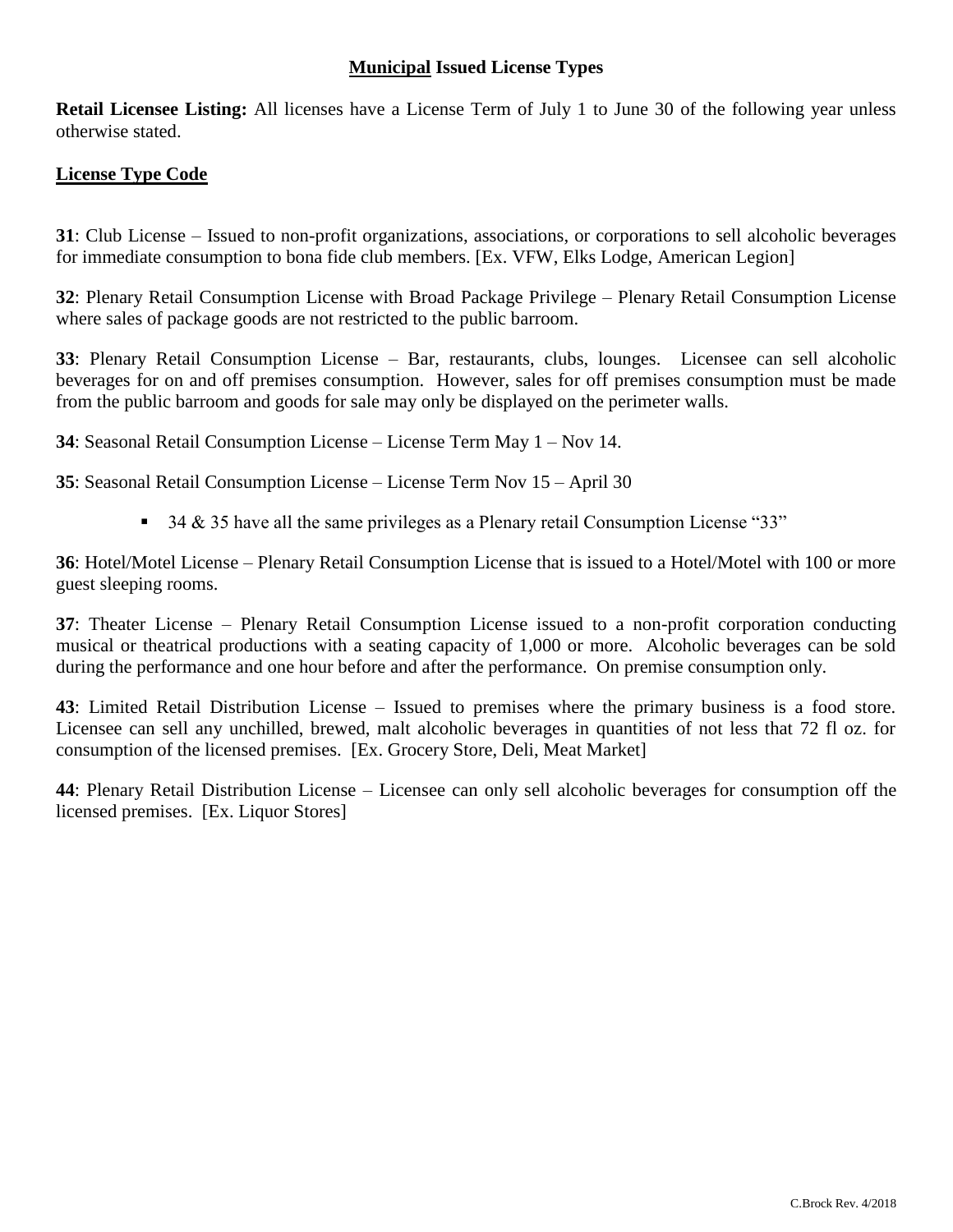## **Municipal Issued License Types**

**Retail Licensee Listing:** All licenses have a License Term of July 1 to June 30 of the following year unless otherwise stated.

### **License Type Code**

**31**: Club License – Issued to non-profit organizations, associations, or corporations to sell alcoholic beverages for immediate consumption to bona fide club members. [Ex. VFW, Elks Lodge, American Legion]

**32**: Plenary Retail Consumption License with Broad Package Privilege – Plenary Retail Consumption License where sales of package goods are not restricted to the public barroom.

**33**: Plenary Retail Consumption License – Bar, restaurants, clubs, lounges. Licensee can sell alcoholic beverages for on and off premises consumption. However, sales for off premises consumption must be made from the public barroom and goods for sale may only be displayed on the perimeter walls.

**34**: Seasonal Retail Consumption License – License Term May 1 – Nov 14.

**35**: Seasonal Retail Consumption License – License Term Nov 15 – April 30

 $\overline{\phantom{a}}$  34 & 35 have all the same privileges as a Plenary retail Consumption License "33"

**36**: Hotel/Motel License – Plenary Retail Consumption License that is issued to a Hotel/Motel with 100 or more guest sleeping rooms.

**37**: Theater License – Plenary Retail Consumption License issued to a non-profit corporation conducting musical or theatrical productions with a seating capacity of 1,000 or more. Alcoholic beverages can be sold during the performance and one hour before and after the performance. On premise consumption only.

**43**: Limited Retail Distribution License – Issued to premises where the primary business is a food store. Licensee can sell any unchilled, brewed, malt alcoholic beverages in quantities of not less that 72 fl oz. for consumption of the licensed premises. [Ex. Grocery Store, Deli, Meat Market]

**44**: Plenary Retail Distribution License – Licensee can only sell alcoholic beverages for consumption off the licensed premises. [Ex. Liquor Stores]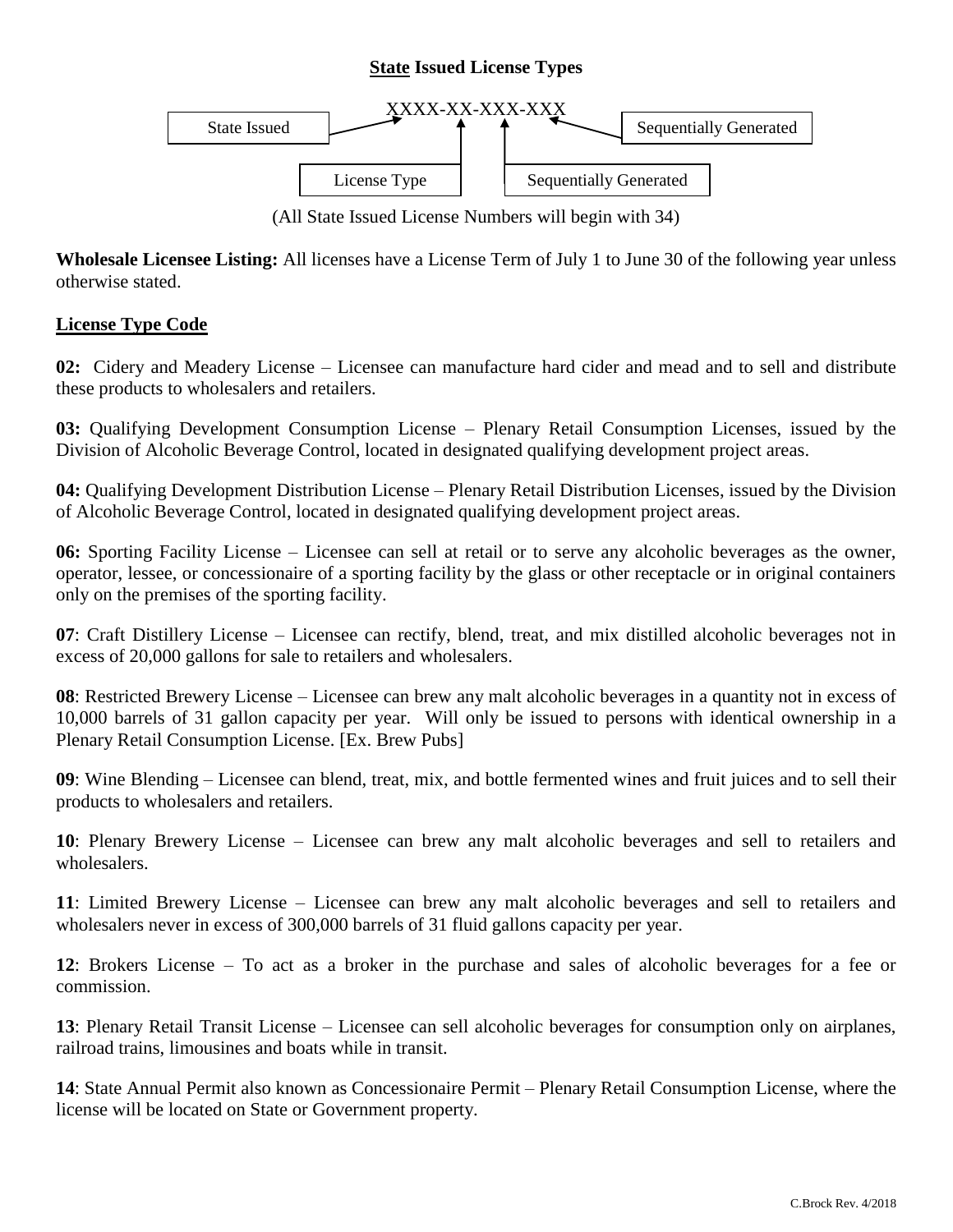# **State Issued License Types**



(All State Issued License Numbers will begin with 34)

**Wholesale Licensee Listing:** All licenses have a License Term of July 1 to June 30 of the following year unless otherwise stated.

#### **License Type Code**

**02:** Cidery and Meadery License – Licensee can manufacture hard cider and mead and to sell and distribute these products to wholesalers and retailers.

**03:** Qualifying Development Consumption License – Plenary Retail Consumption Licenses, issued by the Division of Alcoholic Beverage Control, located in designated qualifying development project areas.

**04:** Qualifying Development Distribution License – Plenary Retail Distribution Licenses, issued by the Division of Alcoholic Beverage Control, located in designated qualifying development project areas.

**06:** Sporting Facility License – Licensee can sell at retail or to serve any alcoholic beverages as the owner, operator, lessee, or concessionaire of a sporting facility by the glass or other receptacle or in original containers only on the premises of the sporting facility.

**07**: Craft Distillery License – Licensee can rectify, blend, treat, and mix distilled alcoholic beverages not in excess of 20,000 gallons for sale to retailers and wholesalers.

**08**: Restricted Brewery License – Licensee can brew any malt alcoholic beverages in a quantity not in excess of 10,000 barrels of 31 gallon capacity per year. Will only be issued to persons with identical ownership in a Plenary Retail Consumption License. [Ex. Brew Pubs]

**09**: Wine Blending – Licensee can blend, treat, mix, and bottle fermented wines and fruit juices and to sell their products to wholesalers and retailers.

**10**: Plenary Brewery License – Licensee can brew any malt alcoholic beverages and sell to retailers and wholesalers.

**11**: Limited Brewery License – Licensee can brew any malt alcoholic beverages and sell to retailers and wholesalers never in excess of 300,000 barrels of 31 fluid gallons capacity per year.

**12**: Brokers License – To act as a broker in the purchase and sales of alcoholic beverages for a fee or commission.

**13**: Plenary Retail Transit License – Licensee can sell alcoholic beverages for consumption only on airplanes, railroad trains, limousines and boats while in transit.

**14**: State Annual Permit also known as Concessionaire Permit – Plenary Retail Consumption License, where the license will be located on State or Government property.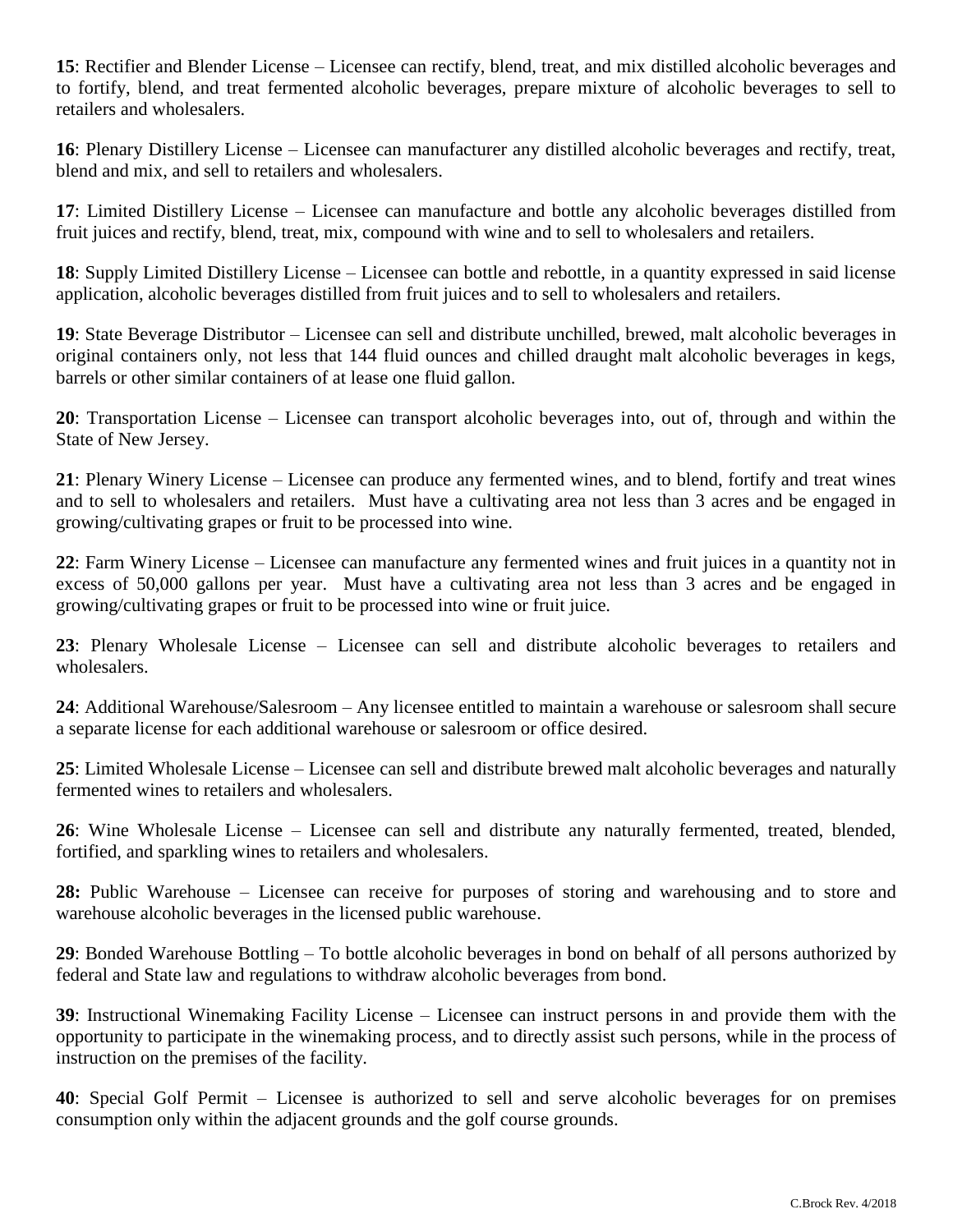**15**: Rectifier and Blender License – Licensee can rectify, blend, treat, and mix distilled alcoholic beverages and to fortify, blend, and treat fermented alcoholic beverages, prepare mixture of alcoholic beverages to sell to retailers and wholesalers.

**16**: Plenary Distillery License – Licensee can manufacturer any distilled alcoholic beverages and rectify, treat, blend and mix, and sell to retailers and wholesalers.

**17**: Limited Distillery License – Licensee can manufacture and bottle any alcoholic beverages distilled from fruit juices and rectify, blend, treat, mix, compound with wine and to sell to wholesalers and retailers.

**18**: Supply Limited Distillery License – Licensee can bottle and rebottle, in a quantity expressed in said license application, alcoholic beverages distilled from fruit juices and to sell to wholesalers and retailers.

**19**: State Beverage Distributor – Licensee can sell and distribute unchilled, brewed, malt alcoholic beverages in original containers only, not less that 144 fluid ounces and chilled draught malt alcoholic beverages in kegs, barrels or other similar containers of at lease one fluid gallon.

**20**: Transportation License – Licensee can transport alcoholic beverages into, out of, through and within the State of New Jersey.

**21**: Plenary Winery License – Licensee can produce any fermented wines, and to blend, fortify and treat wines and to sell to wholesalers and retailers. Must have a cultivating area not less than 3 acres and be engaged in growing/cultivating grapes or fruit to be processed into wine.

**22**: Farm Winery License – Licensee can manufacture any fermented wines and fruit juices in a quantity not in excess of 50,000 gallons per year. Must have a cultivating area not less than 3 acres and be engaged in growing/cultivating grapes or fruit to be processed into wine or fruit juice.

**23**: Plenary Wholesale License – Licensee can sell and distribute alcoholic beverages to retailers and wholesalers.

**24**: Additional Warehouse/Salesroom – Any licensee entitled to maintain a warehouse or salesroom shall secure a separate license for each additional warehouse or salesroom or office desired.

**25**: Limited Wholesale License – Licensee can sell and distribute brewed malt alcoholic beverages and naturally fermented wines to retailers and wholesalers.

**26**: Wine Wholesale License – Licensee can sell and distribute any naturally fermented, treated, blended, fortified, and sparkling wines to retailers and wholesalers.

**28:** Public Warehouse – Licensee can receive for purposes of storing and warehousing and to store and warehouse alcoholic beverages in the licensed public warehouse.

**29**: Bonded Warehouse Bottling – To bottle alcoholic beverages in bond on behalf of all persons authorized by federal and State law and regulations to withdraw alcoholic beverages from bond.

**39**: Instructional Winemaking Facility License – Licensee can instruct persons in and provide them with the opportunity to participate in the winemaking process, and to directly assist such persons, while in the process of instruction on the premises of the facility.

**40**: Special Golf Permit – Licensee is authorized to sell and serve alcoholic beverages for on premises consumption only within the adjacent grounds and the golf course grounds.